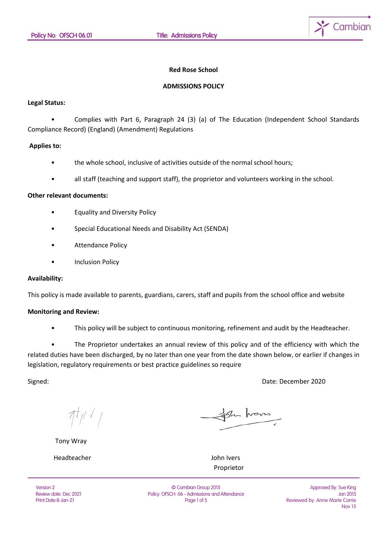

#### **Red Rose School**

#### **ADMISSIONS POLICY**

#### **Legal Status:**

• Complies with Part 6, Paragraph 24 (3) (a) of The Education (Independent School Standards Compliance Record) (England) (Amendment) Regulations

### **Applies to:**

- the whole school, inclusive of activities outside of the normal school hours;
- all staff (teaching and support staff), the proprietor and volunteers working in the school.

# **Other relevant documents:**

- Equality and Diversity Policy
- Special Educational Needs and Disability Act (SENDA)
- Attendance Policy
- **Inclusion Policy**

### **Availability:**

This policy is made available to parents, guardians, carers, staff and pupils from the school office and website

## **Monitoring and Review:**

• This policy will be subject to continuous monitoring, refinement and audit by the Headteacher.

The Proprietor undertakes an annual review of this policy and of the efficiency with which the related duties have been discharged, by no later than one year from the date shown below, or earlier if changes in legislation, regulatory requirements or best practice guidelines so require

Signed: Date: December 2020

 $\pi_{l}$ 

Tony Wray

Headteacher John Ivers

the home

Proprietor

Version 2 Review date: Dec 2021 Print Date:8-Jan-21

© Cambian Group 2015 Policy: OFSCH 06 - Admissions and Attendance Page 1 of 5

Approved By: Sue King Jan 2015 Reviewed by: Anne Marie Carrie Nov 15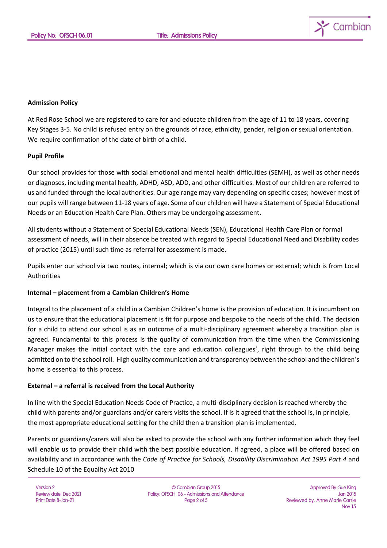

# **Admission Policy**

At Red Rose School we are registered to care for and educate children from the age of 11 to 18 years, covering Key Stages 3-5. No child is refused entry on the grounds of race, ethnicity, gender, religion or sexual orientation. We require confirmation of the date of birth of a child.

### **Pupil Profile**

Our school provides for those with social emotional and mental health difficulties (SEMH), as well as other needs or diagnoses, including mental health, ADHD, ASD, ADD, and other difficulties. Most of our children are referred to us and funded through the local authorities. Our age range may vary depending on specific cases; however most of our pupils will range between 11-18 years of age. Some of our children will have a Statement of Special Educational Needs or an Education Health Care Plan. Others may be undergoing assessment.

All students without a Statement of Special Educational Needs (SEN), Educational Health Care Plan or formal assessment of needs, will in their absence be treated with regard to Special Educational Need and Disability codes of practice (2015) until such time as referral for assessment is made.

Pupils enter our school via two routes, internal; which is via our own care homes or external; which is from Local **Authorities** 

### **Internal – placement from a Cambian Children's Home**

Integral to the placement of a child in a Cambian Children's home is the provision of education. It is incumbent on us to ensure that the educational placement is fit for purpose and bespoke to the needs of the child. The decision for a child to attend our school is as an outcome of a multi-disciplinary agreement whereby a transition plan is agreed. Fundamental to this process is the quality of communication from the time when the Commissioning Manager makes the initial contact with the care and education colleagues', right through to the child being admitted on to the school roll. High quality communication and transparency between the school and the children's home is essential to this process.

### **External – a referral is received from the Local Authority**

In line with the Special Education Needs Code of Practice, a multi-disciplinary decision is reached whereby the child with parents and/or guardians and/or carers visits the school. If is it agreed that the school is, in principle, the most appropriate educational setting for the child then a transition plan is implemented.

Parents or guardians/carers will also be asked to provide the school with any further information which they feel will enable us to provide their child with the best possible education. If agreed, a place will be offered based on availability and in accordance with the *Code of Practice for Schools, Disability Discrimination Act 1995 Part 4* and Schedule 10 of the Equality Act 2010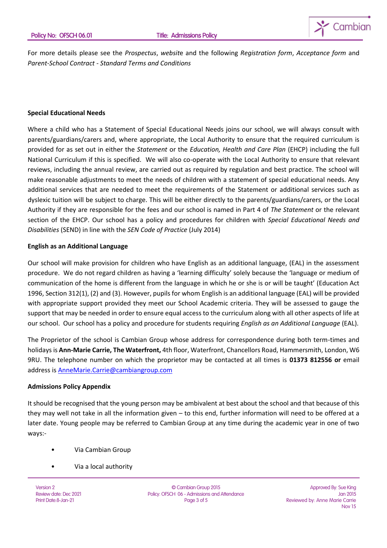

For more details please see the *Prospectus*, *websit*e and the following *Registration form*, *Acceptance form* and *Parent-School Contract - Standard Terms and Conditions*

# **Special Educational Needs**

Where a child who has a Statement of Special Educational Needs joins our school, we will always consult with parents/guardians/carers and, where appropriate, the Local Authority to ensure that the required curriculum is provided for as set out in either the *Statement* or the *Education, Health and Care Plan* (EHCP) including the full National Curriculum if this is specified. We will also co-operate with the Local Authority to ensure that relevant reviews, including the annual review, are carried out as required by regulation and best practice. The school will make reasonable adjustments to meet the needs of children with a statement of special educational needs. Any additional services that are needed to meet the requirements of the Statement or additional services such as dyslexic tuition will be subject to charge. This will be either directly to the parents/guardians/carers, or the Local Authority if they are responsible for the fees and our school is named in Part 4 of *The Statement* or the relevant section of the EHCP. Our school has a policy and procedures for children with *Special Educational Needs and Disabilities* (SEND) in line with the *SEN Code of Practice* (July 2014)

## **English as an Additional Language**

Our school will make provision for children who have English as an additional language, (EAL) in the assessment procedure. We do not regard children as having a 'learning difficulty' solely because the 'language or medium of communication of the home is different from the language in which he or she is or will be taught' (Education Act 1996, Section 312(1), (2) and (3). However, pupils for whom English is an additional language (EAL) will be provided with appropriate support provided they meet our School Academic criteria. They will be assessed to gauge the support that may be needed in order to ensure equal access to the curriculum along with all other aspects of life at our school. Our school has a policy and procedure for students requiring *English as an Additional Language* (EAL).

The Proprietor of the school is Cambian Group whose address for correspondence during both term-times and holidays is **Ann-Marie Carrie, The Waterfront,** 4th floor, Waterfront, Chancellors Road, Hammersmith, London, W6 9RU. The telephone number on which the proprietor may be contacted at all times is **01373 812556 or** email address is [AnneMarie.Carrie@cambiangroup.com](mailto:AnneMarie.Carrie@cambiangroup.com)

### **Admissions Policy Appendix**

It should be recognised that the young person may be ambivalent at best about the school and that because of this they may well not take in all the information given – to this end, further information will need to be offered at a later date. Young people may be referred to Cambian Group at any time during the academic year in one of two ways:-

- Via Cambian Group
- Via a local authority

Version 2 Review date: Dec 2021 Print Date:8-Jan-21

© Cambian Group 2015 Policy: OFSCH 06 - Admissions and Attendance Page 3 of 5

Approved By: Sue King Jan 2015 Reviewed by: Anne Marie Carrie Nov 15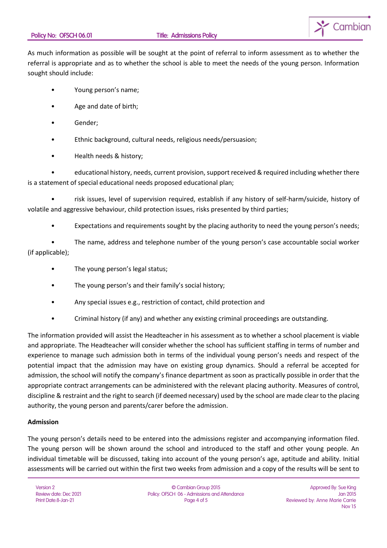

As much information as possible will be sought at the point of referral to inform assessment as to whether the referral is appropriate and as to whether the school is able to meet the needs of the young person. Information sought should include:

- Young person's name;
- Age and date of birth;
- Gender;
- Ethnic background, cultural needs, religious needs/persuasion;
- Health needs & history;

• educational history, needs, current provision, support received & required including whether there is a statement of special educational needs proposed educational plan;

• risk issues, level of supervision required, establish if any history of self-harm/suicide, history of volatile and aggressive behaviour, child protection issues, risks presented by third parties;

Expectations and requirements sought by the placing authority to need the young person's needs;

• The name, address and telephone number of the young person's case accountable social worker (if applicable);

- The young person's legal status;
- The young person's and their family's social history;
- Any special issues e.g., restriction of contact, child protection and
- Criminal history (if any) and whether any existing criminal proceedings are outstanding.

The information provided will assist the Headteacher in his assessment as to whether a school placement is viable and appropriate. The Headteacher will consider whether the school has sufficient staffing in terms of number and experience to manage such admission both in terms of the individual young person's needs and respect of the potential impact that the admission may have on existing group dynamics. Should a referral be accepted for admission, the school will notify the company's finance department as soon as practically possible in order that the appropriate contract arrangements can be administered with the relevant placing authority. Measures of control, discipline & restraint and the right to search (if deemed necessary) used by the school are made clear to the placing authority, the young person and parents/carer before the admission.

# **Admission**

The young person's details need to be entered into the admissions register and accompanying information filed. The young person will be shown around the school and introduced to the staff and other young people. An individual timetable will be discussed, taking into account of the young person's age, aptitude and ability. Initial assessments will be carried out within the first two weeks from admission and a copy of the results will be sent to